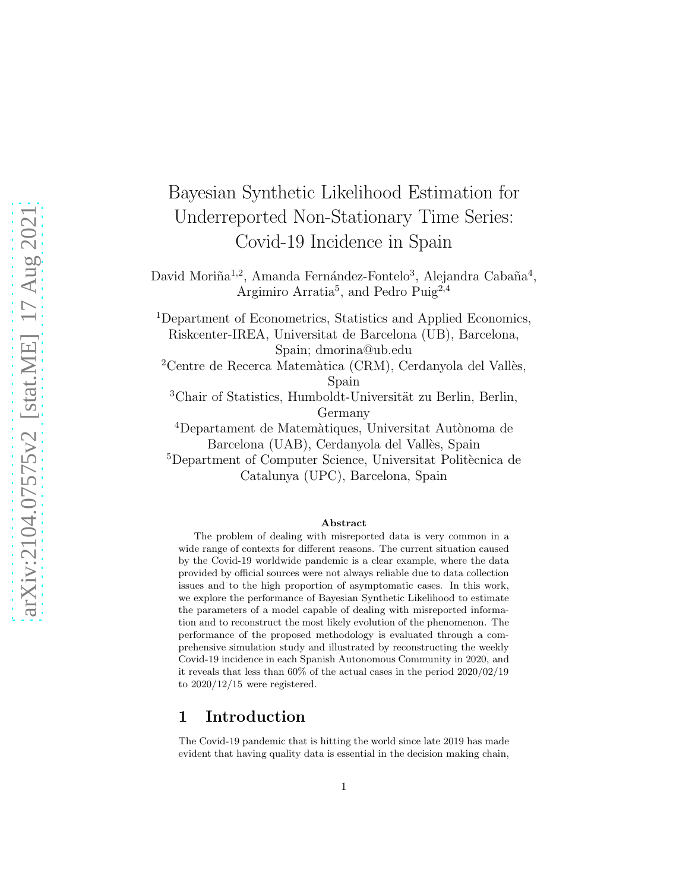# Bayesian Synthetic Likelihood Estimation for Underreported Non-Stationary Time Series: Covid-19 Incidence in Spain

David Moriña<sup>1,2</sup>, Amanda Fernández-Fontelo<sup>3</sup>, Alejandra Cabaña<sup>4</sup>, Argimiro Arratia<sup>5</sup>, and Pedro Puig<sup>2,4</sup>

<sup>1</sup>Department of Econometrics, Statistics and Applied Economics, Riskcenter-IREA, Universitat de Barcelona (UB), Barcelona, Spain; dmorina@ub.edu

 $2$ Centre de Recerca Matemàtica (CRM), Cerdanyola del Vallès, Spain

 $3$ Chair of Statistics, Humboldt-Universität zu Berlin, Berlin, Germany

<sup>4</sup>Departament de Matemàtiques, Universitat Autònoma de Barcelona (UAB), Cerdanyola del Vallès, Spain

<sup>5</sup>Department of Computer Science, Universitat Politècnica de Catalunya (UPC), Barcelona, Spain

#### Abstract

The problem of dealing with misreported data is very common in a wide range of contexts for different reasons. The current situation caused by the Covid-19 worldwide pandemic is a clear example, where the data provided by official sources were not always reliable due to data collection issues and to the high proportion of asymptomatic cases. In this work, we explore the performance of Bayesian Synthetic Likelihood to estimate the parameters of a model capable of dealing with misreported information and to reconstruct the most likely evolution of the phenomenon. The performance of the proposed methodology is evaluated through a comprehensive simulation study and illustrated by reconstructing the weekly Covid-19 incidence in each Spanish Autonomous Community in 2020, and it reveals that less than 60% of the actual cases in the period 2020/02/19 to 2020/12/15 were registered.

## 1 Introduction

The Covid-19 pandemic that is hitting the world since late 2019 has made evident that having quality data is essential in the decision making chain,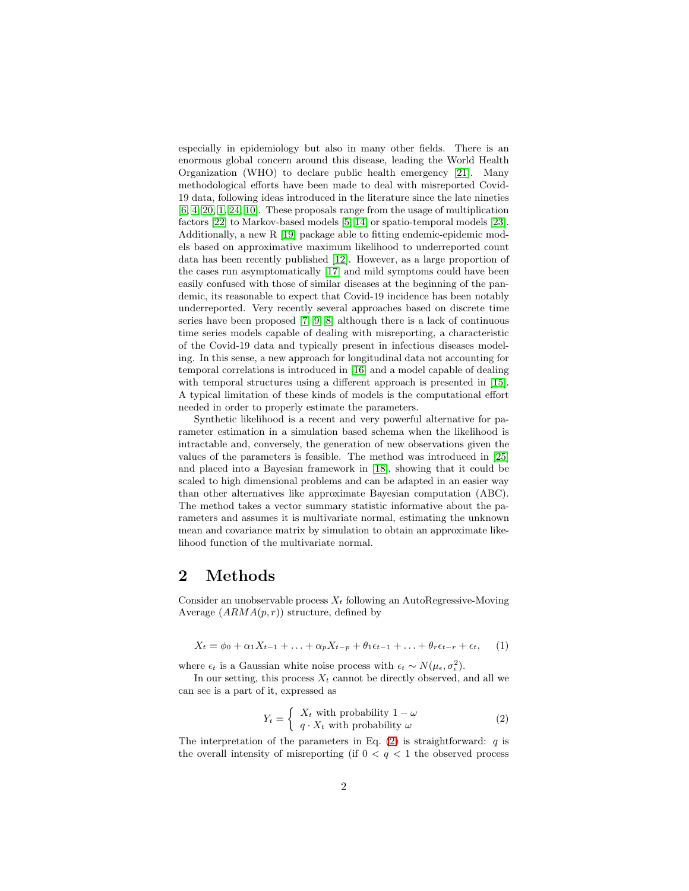especially in epidemiology but also in many other fields. There is an enormous global concern around this disease, leading the World Health Organization (WHO) to declare public health emergency [\[21\]](#page-9-0). Many methodological efforts have been made to deal with misreported Covid-19 data, following ideas introduced in the literature since the late nineties [\[6,](#page-7-0) [4,](#page-7-1) [20,](#page-8-0) [1,](#page-7-2) [24,](#page-9-1) [10\]](#page-8-1). These proposals range from the usage of multiplication factors [\[22\]](#page-9-2) to Markov-based models [\[5,](#page-7-3) [14\]](#page-8-2) or spatio-temporal models [\[23\]](#page-9-3). Additionally, a new R [\[19\]](#page-8-3) package able to fitting endemic-epidemic models based on approximative maximum likelihood to underreported count data has been recently published [\[12\]](#page-8-4). However, as a large proportion of the cases run asymptomatically [\[17\]](#page-8-5) and mild symptoms could have been easily confused with those of similar diseases at the beginning of the pandemic, its reasonable to expect that Covid-19 incidence has been notably underreported. Very recently several approaches based on discrete time series have been proposed [\[7,](#page-7-4) [9,](#page-8-6) [8\]](#page-7-5) although there is a lack of continuous time series models capable of dealing with misreporting, a characteristic of the Covid-19 data and typically present in infectious diseases modeling. In this sense, a new approach for longitudinal data not accounting for temporal correlations is introduced in [\[16\]](#page-8-7) and a model capable of dealing with temporal structures using a different approach is presented in [\[15\]](#page-8-8). A typical limitation of these kinds of models is the computational effort needed in order to properly estimate the parameters.

Synthetic likelihood is a recent and very powerful alternative for parameter estimation in a simulation based schema when the likelihood is intractable and, conversely, the generation of new observations given the values of the parameters is feasible. The method was introduced in [\[25\]](#page-9-4) and placed into a Bayesian framework in [\[18\]](#page-8-9), showing that it could be scaled to high dimensional problems and can be adapted in an easier way than other alternatives like approximate Bayesian computation (ABC). The method takes a vector summary statistic informative about the parameters and assumes it is multivariate normal, estimating the unknown mean and covariance matrix by simulation to obtain an approximate likelihood function of the multivariate normal.

# 2 Methods

Consider an unobservable process  $X_t$  following an AutoRegressive-Moving Average  $(ARMA(p, r))$  structure, defined by

<span id="page-1-1"></span>
$$
X_t = \phi_0 + \alpha_1 X_{t-1} + \ldots + \alpha_p X_{t-p} + \theta_1 \epsilon_{t-1} + \ldots + \theta_r \epsilon_{t-r} + \epsilon_t, \quad (1)
$$

where  $\epsilon_t$  is a Gaussian white noise process with  $\epsilon_t \sim N(\mu_{\epsilon}, \sigma_{\epsilon}^2)$ .

In our setting, this process  $X_t$  cannot be directly observed, and all we can see is a part of it, expressed as

<span id="page-1-0"></span>
$$
Y_t = \begin{cases} X_t & \text{with probability } 1 - \omega \\ q \cdot X_t & \text{with probability } \omega \end{cases} \tag{2}
$$

The interpretation of the parameters in Eq. [\(2\)](#page-1-0) is straightforward:  $q$  is the overall intensity of misreporting (if  $0 < q < 1$  the observed process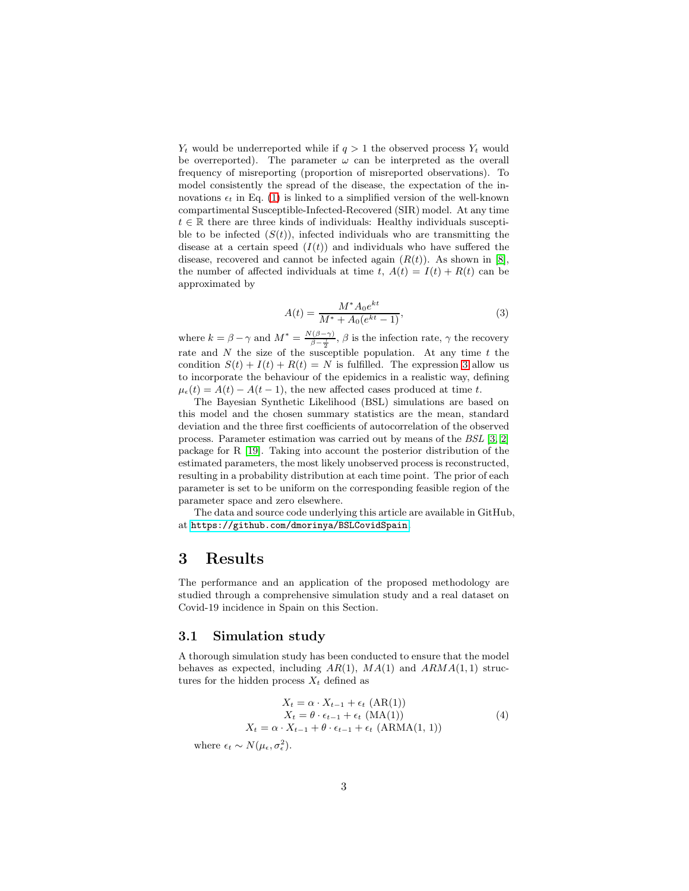$Y_t$  would be underreported while if  $q > 1$  the observed process  $Y_t$  would be overreported). The parameter  $\omega$  can be interpreted as the overall frequency of misreporting (proportion of misreported observations). To model consistently the spread of the disease, the expectation of the innovations  $\epsilon_t$  in Eq. [\(1\)](#page-1-1) is linked to a simplified version of the well-known compartimental Susceptible-Infected-Recovered (SIR) model. At any time  $t \in \mathbb{R}$  there are three kinds of individuals: Healthy individuals susceptible to be infected  $(S(t))$ , infected individuals who are transmitting the disease at a certain speed  $(I(t))$  and individuals who have suffered the disease, recovered and cannot be infected again  $(R(t))$ . As shown in [\[8\]](#page-7-5), the number of affected individuals at time t,  $A(t) = I(t) + R(t)$  can be approximated by

<span id="page-2-0"></span>
$$
A(t) = \frac{M^* A_0 e^{kt}}{M^* + A_0 (e^{kt} - 1)},
$$
\n(3)

where  $k = \beta - \gamma$  and  $M^* = \frac{N(\beta - \gamma)}{\beta - \frac{\gamma}{2}}, \beta$  is the infection rate,  $\gamma$  the recovery rate and N the size of the susceptible population. At any time  $t$  the condition  $S(t) + I(t) + R(t) = N$  is fulfilled. The expression [3](#page-2-0) allow us to incorporate the behaviour of the epidemics in a realistic way, defining  $\mu_{\epsilon}(t) = A(t) - A(t-1)$ , the new affected cases produced at time t.

The Bayesian Synthetic Likelihood (BSL) simulations are based on this model and the chosen summary statistics are the mean, standard deviation and the three first coefficients of autocorrelation of the observed process. Parameter estimation was carried out by means of the *BSL* [\[3,](#page-7-6) [2\]](#page-7-7) package for R [\[19\]](#page-8-3). Taking into account the posterior distribution of the estimated parameters, the most likely unobserved process is reconstructed, resulting in a probability distribution at each time point. The prior of each parameter is set to be uniform on the corresponding feasible region of the parameter space and zero elsewhere.

The data and source code underlying this article are available in GitHub, at <https://github.com/dmorinya/BSLCovidSpain>.

# 3 Results

The performance and an application of the proposed methodology are studied through a comprehensive simulation study and a real dataset on Covid-19 incidence in Spain on this Section.

#### 3.1 Simulation study

A thorough simulation study has been conducted to ensure that the model behaves as expected, including  $AR(1)$ ,  $MA(1)$  and  $ARMA(1, 1)$  structures for the hidden process  $X_t$  defined as

$$
X_t = \alpha \cdot X_{t-1} + \epsilon_t \text{ (AR(1))}
$$
  
\n
$$
X_t = \theta \cdot \epsilon_{t-1} + \epsilon_t \text{ (MA(1))}
$$
  
\n
$$
X_t = \alpha \cdot X_{t-1} + \theta \cdot \epsilon_{t-1} + \epsilon_t \text{ (ARMA(1, 1))}
$$
  
\n(4)

where  $\epsilon_t \sim N(\mu_{\epsilon}, \sigma_{\epsilon}^2)$ .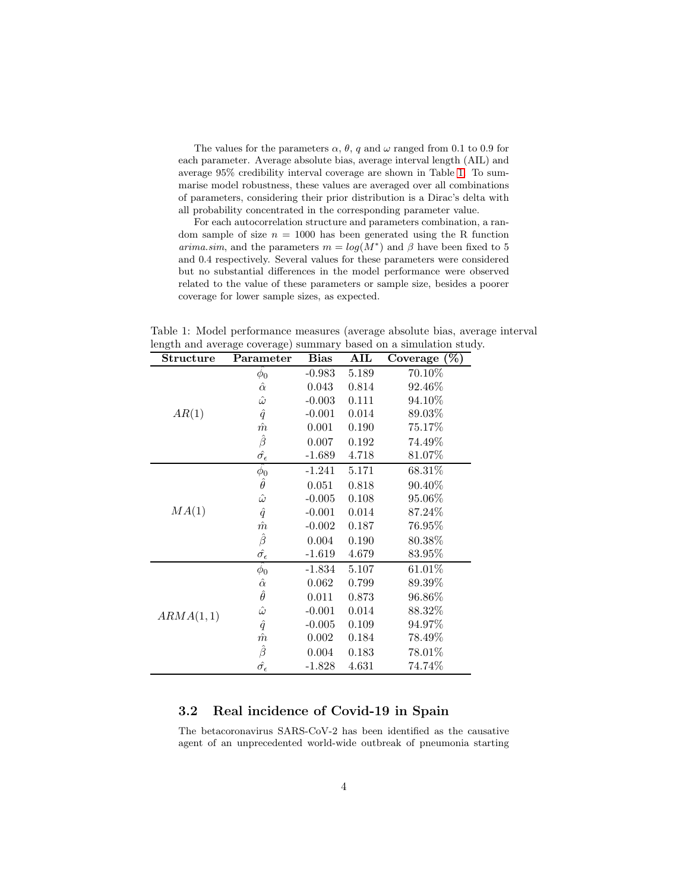The values for the parameters  $\alpha$ ,  $\theta$ ,  $q$  and  $\omega$  ranged from 0.1 to 0.9 for each parameter. Average absolute bias, average interval length (AIL) and average 95% credibility interval coverage are shown in Table [1.](#page-3-0) To summarise model robustness, these values are averaged over all combinations of parameters, considering their prior distribution is a Dirac's delta with all probability concentrated in the corresponding parameter value.

For each autocorrelation structure and parameters combination, a random sample of size  $n = 1000$  has been generated using the R function *arima.sim*, and the parameters  $m = log(M^*)$  and  $\beta$  have been fixed to 5 and 0.4 respectively. Several values for these parameters were considered but no substantial differences in the model performance were observed related to the value of these parameters or sample size, besides a poorer coverage for lower sample sizes, as expected.

<span id="page-3-0"></span>Table 1: Model performance measures (average absolute bias, average interval length and average coverage) summary based on a simulation study.

| Structure | Parameter                 | <b>Bias</b> | ${\bf AIL}$ | $(\%)$<br>Coverage |
|-----------|---------------------------|-------------|-------------|--------------------|
| AR(1)     | $\phi_0$                  | $-0.983$    | 5.189       | 70.10%             |
|           | $\hat{\alpha}$            | 0.043       | 0.814       | 92.46%             |
|           | $\hat{\omega}$            | $-0.003$    | 0.111       | 94.10%             |
|           | $\hat{q}$                 | $-0.001$    | 0.014       | 89.03%             |
|           | $\hat{m}$                 | 0.001       | 0.190       | 75.17%             |
|           | $\hat{\beta}$             | 0.007       | 0.192       | 74.49%             |
|           | $\hat{\sigma_{\epsilon}}$ | $-1.689$    | 4.718       | 81.07%             |
| MA(1)     | $\phi_0$                  | $-1.241$    | 5.171       | 68.31%             |
|           | $\hat{\theta}$            | 0.051       | 0.818       | 90.40%             |
|           | $\hat{\omega}$            | $-0.005$    | 0.108       | 95.06%             |
|           | $\hat{q}$                 | $-0.001$    | 0.014       | 87.24%             |
|           | $\hat{m}$                 | $-0.002$    | 0.187       | 76.95%             |
|           | $\hat{\beta}$             | 0.004       | 0.190       | 80.38%             |
|           | $\hat{\sigma_{\epsilon}}$ | $-1.619$    | 4.679       | 83.95%             |
| ARMA(1,1) | $\hat{\phi_0}$            | $-1.834$    | 5.107       | 61.01%             |
|           | $\hat{\alpha}$            | 0.062       | 0.799       | 89.39%             |
|           | $\hat{\theta}$            | 0.011       | 0.873       | 96.86%             |
|           | $\hat{\omega}$            | $-0.001$    | 0.014       | 88.32\%            |
|           | $\hat{q}$                 | $-0.005$    | 0.109       | 94.97%             |
|           | $\hat{m}$                 | 0.002       | 0.184       | 78.49\%            |
|           | $\hat{\beta}$             | 0.004       | 0.183       | 78.01%             |
|           | $\hat{\sigma_{\epsilon}}$ | $-1.828$    | 4.631       | 74.74%             |

## 3.2 Real incidence of Covid-19 in Spain

The betacoronavirus SARS-CoV-2 has been identified as the causative agent of an unprecedented world-wide outbreak of pneumonia starting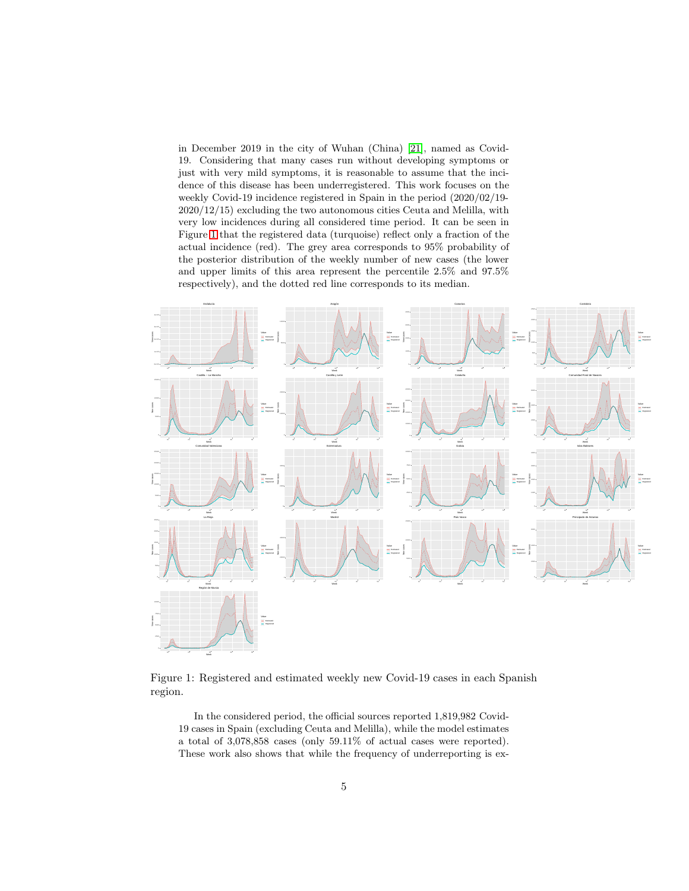in December 2019 in the city of Wuhan (China) [\[21\]](#page-9-0), named as Covid-19. Considering that many cases run without developing symptoms or just with very mild symptoms, it is reasonable to assume that the incidence of this disease has been underregistered. This work focuses on the weekly Covid-19 incidence registered in Spain in the period (2020/02/19- 2020/12/15) excluding the two autonomous cities Ceuta and Melilla, with very low incidences during all considered time period. It can be seen in Figure [1](#page-4-0) that the registered data (turquoise) reflect only a fraction of the actual incidence (red). The grey area corresponds to 95% probability of the posterior distribution of the weekly number of new cases (the lower and upper limits of this area represent the percentile 2.5% and 97.5% respectively), and the dotted red line corresponds to its median.



Figure 1: Registered and estimated weekly new Covid-19 cases in each Spanish region.

<span id="page-4-0"></span>In the considered period, the official sources reported 1,819,982 Covid-19 cases in Spain (excluding Ceuta and Melilla), while the model estimates a total of 3,078,858 cases (only 59.11% of actual cases were reported). These work also shows that while the frequency of underreporting is ex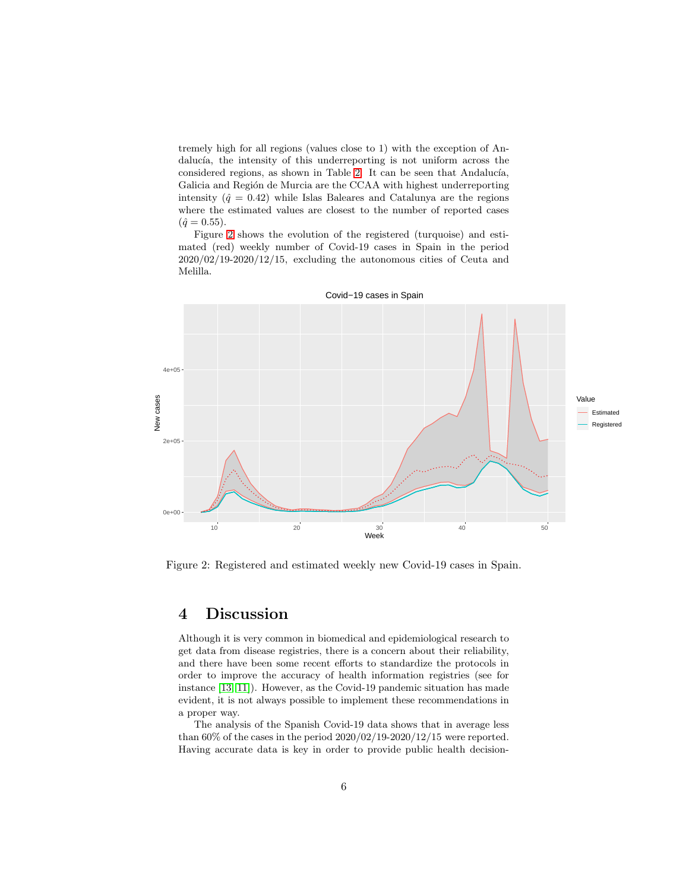tremely high for all regions (values close to 1) with the exception of Andalucía, the intensity of this underreporting is not uniform across the considered regions, as shown in Table [2.](#page-6-0) It can be seen that Andalucía, Galicia and Región de Murcia are the CCAA with highest underreporting intensity  $(\hat{q} = 0.42)$  while Islas Baleares and Catalunya are the regions where the estimated values are closest to the number of reported cases  $(\hat{q}=0.55).$ 

Figure [2](#page-5-0) shows the evolution of the registered (turquoise) and estimated (red) weekly number of Covid-19 cases in Spain in the period  $2020/02/19-2020/12/15$ , excluding the autonomous cities of Ceuta and Melilla.



Covid−19 cases in Spain

<span id="page-5-0"></span>Figure 2: Registered and estimated weekly new Covid-19 cases in Spain.

# 4 Discussion

Although it is very common in biomedical and epidemiological research to get data from disease registries, there is a concern about their reliability, and there have been some recent efforts to standardize the protocols in order to improve the accuracy of health information registries (see for instance [\[13,](#page-8-10) [11\]](#page-8-11)). However, as the Covid-19 pandemic situation has made evident, it is not always possible to implement these recommendations in a proper way.

The analysis of the Spanish Covid-19 data shows that in average less than  $60\%$  of the cases in the period  $2020/02/19-2020/12/15$  were reported. Having accurate data is key in order to provide public health decision-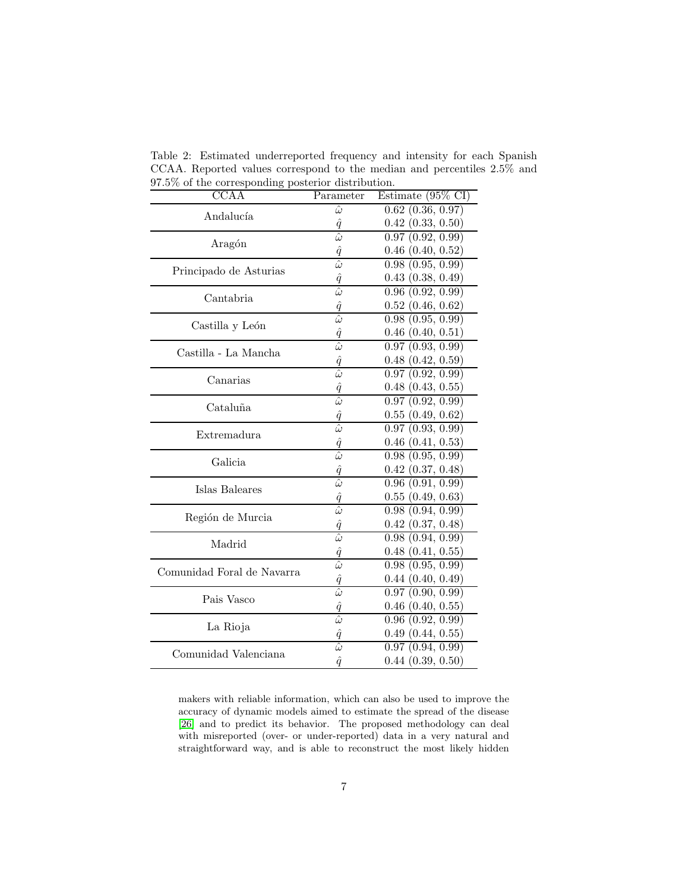| <b>CCAA</b>                | Parameter                      | Estimate $(95\% \text{ CI})$ |
|----------------------------|--------------------------------|------------------------------|
| Andalucía                  | $\hat{\omega}$                 | $0.62$ $(0.36, 0.97)$        |
|                            | $\hat{q}$                      | $0.42$ $(0.33, 0.50)$        |
|                            | $\hat{\omega}$                 | 0.97(0.92, 0.99)             |
| Aragón                     | $\hat{q}$                      | $0.46$ $(0.40, 0.52)$        |
| Principado de Asturias     | $\hat{\omega}$                 | 0.98(0.95, 0.99)             |
|                            | $\frac{\hat{q}}{\hat{\omega}}$ | 0.43(0.38, 0.49)             |
| Cantabria                  |                                | 0.96(0.92, 0.99)             |
|                            | $\hat{q}$                      | $0.52$ $(0.46, 0.62)$        |
|                            | $\bar{\hat{\omega}}$           | 0.98(0.95, 0.99)             |
| Castilla y León            |                                | $0.46$ $(0.40, 0.51)$        |
|                            | $\frac{\hat{q}}{\hat{\omega}}$ | 0.97(0.93, 0.99)             |
| Castilla - La Mancha       |                                | $0.48$ $(0.42, 0.59)$        |
|                            | $\frac{\hat{q}}{\hat{\omega}}$ | 0.97(0.92, 0.99)             |
| Canarias                   | $\hat{q}$                      | $0.48$ $(0.43, 0.55)$        |
|                            | $\hat{\omega}$                 | 0.97(0.92, 0.99)             |
| Cataluña                   | $\hat{q}$                      | 0.55(0.49, 0.62)             |
|                            | $\hat{\omega}$                 | 0.97(0.93, 0.99)             |
| Extremadura                |                                | $0.46$ $(0.41, 0.53)$        |
| Galicia                    | $\frac{\hat{q}}{\hat{\omega}}$ | 0.98(0.95, 0.99)             |
|                            | $\frac{\hat{q}}{\hat{\omega}}$ | $0.42$ $(0.37, 0.48)$        |
| Islas Baleares             |                                | 0.96(0.91, 0.99)             |
|                            | $\frac{\hat{q}}{\hat{\omega}}$ | 0.55(0.49, 0.63)             |
|                            |                                | 0.98(0.94, 0.99)             |
| Región de Murcia           |                                | $0.42$ $(0.37, 0.48)$        |
| Madrid                     | $\frac{\hat{q}}{\hat{\omega}}$ | 0.98(0.94, 0.99)             |
|                            | $\hat{q}$                      | 0.48(0.41, 0.55)             |
| Comunidad Foral de Navarra | $\hat{\omega}$                 | 0.98(0.95, 0.99)             |
|                            | $\hat{q}$                      | 0.44(0.40, 0.49)             |
| Pais Vasco                 | $\hat{\omega}$                 | 0.97(0.90, 0.99)             |
|                            | $\frac{\hat{q}}{\hat{\omega}}$ | $0.46$ $(0.40, 0.55)$        |
|                            |                                | 0.96(0.92, 0.99)             |
| La Rioja                   | $\hat{q}$                      | 0.49(0.44, 0.55)             |
| Comunidad Valenciana       | $\hat{\omega}$                 | 0.97(0.94, 0.99)             |
|                            | $\hat{q}$                      | $0.44$ $(0.39, 0.50)$        |

<span id="page-6-0"></span>Table 2: Estimated underreported frequency and intensity for each Spanish CCAA. Reported values correspond to the median and percentiles 2.5% and 97.5% of the corresponding posterior distribution.

makers with reliable information, which can also be used to improve the accuracy of dynamic models aimed to estimate the spread of the disease [\[26\]](#page-9-5) and to predict its behavior. The proposed methodology can deal with misreported (over- or under-reported) data in a very natural and straightforward way, and is able to reconstruct the most likely hidden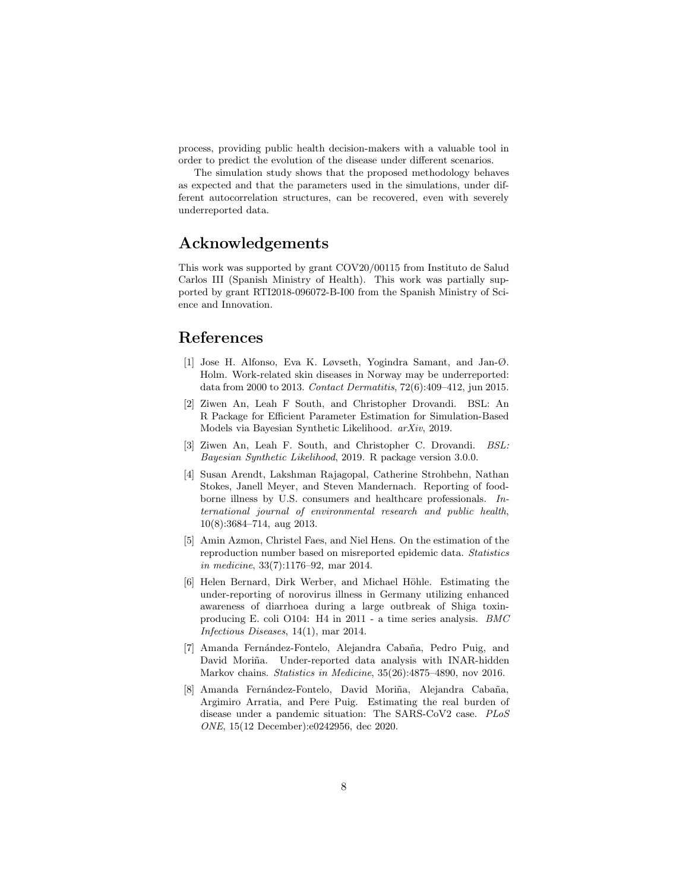process, providing public health decision-makers with a valuable tool in order to predict the evolution of the disease under different scenarios.

The simulation study shows that the proposed methodology behaves as expected and that the parameters used in the simulations, under different autocorrelation structures, can be recovered, even with severely underreported data.

## Acknowledgements

This work was supported by grant COV20/00115 from Instituto de Salud Carlos III (Spanish Ministry of Health). This work was partially supported by grant RTI2018-096072-B-I00 from the Spanish Ministry of Science and Innovation.

### <span id="page-7-2"></span>References

- [1] Jose H. Alfonso, Eva K. Løvseth, Yogindra Samant, and Jan-Ø. Holm. Work-related skin diseases in Norway may be underreported: data from 2000 to 2013. *Contact Dermatitis*, 72(6):409–412, jun 2015.
- <span id="page-7-7"></span>[2] Ziwen An, Leah F South, and Christopher Drovandi. BSL: An R Package for Efficient Parameter Estimation for Simulation-Based Models via Bayesian Synthetic Likelihood. *arXiv*, 2019.
- <span id="page-7-6"></span>[3] Ziwen An, Leah F. South, and Christopher C. Drovandi. *BSL: Bayesian Synthetic Likelihood*, 2019. R package version 3.0.0.
- <span id="page-7-1"></span>[4] Susan Arendt, Lakshman Rajagopal, Catherine Strohbehn, Nathan Stokes, Janell Meyer, and Steven Mandernach. Reporting of foodborne illness by U.S. consumers and healthcare professionals. *International journal of environmental research and public health*, 10(8):3684–714, aug 2013.
- <span id="page-7-3"></span>[5] Amin Azmon, Christel Faes, and Niel Hens. On the estimation of the reproduction number based on misreported epidemic data. *Statistics in medicine*, 33(7):1176–92, mar 2014.
- <span id="page-7-0"></span>[6] Helen Bernard, Dirk Werber, and Michael Höhle. Estimating the under-reporting of norovirus illness in Germany utilizing enhanced awareness of diarrhoea during a large outbreak of Shiga toxinproducing E. coli O104: H4 in 2011 - a time series analysis. *BMC Infectious Diseases*, 14(1), mar 2014.
- <span id="page-7-4"></span>[7] Amanda Fernández-Fontelo, Alejandra Cabaña, Pedro Puig, and David Moriña. Under-reported data analysis with INAR-hidden Markov chains. *Statistics in Medicine*, 35(26):4875–4890, nov 2016.
- <span id="page-7-5"></span>[8] Amanda Fernández-Fontelo, David Moriña, Alejandra Cabaña, Argimiro Arratia, and Pere Puig. Estimating the real burden of disease under a pandemic situation: The SARS-CoV2 case. *PLoS ONE*, 15(12 December):e0242956, dec 2020.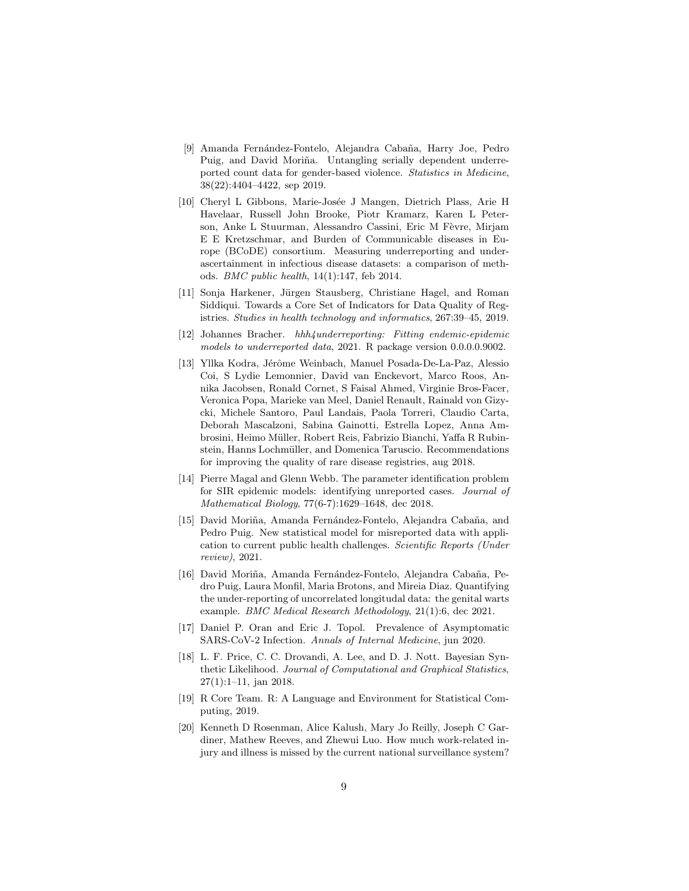- <span id="page-8-6"></span>[9] Amanda Fernández-Fontelo, Alejandra Cabaña, Harry Joe, Pedro Puig, and David Moriña. Untangling serially dependent underreported count data for gender-based violence. *Statistics in Medicine*, 38(22):4404–4422, sep 2019.
- <span id="page-8-1"></span>[10] Cheryl L Gibbons, Marie-Josée J Mangen, Dietrich Plass, Arie H Havelaar, Russell John Brooke, Piotr Kramarz, Karen L Peterson, Anke L Stuurman, Alessandro Cassini, Eric M Fèvre, Mirjam E E Kretzschmar, and Burden of Communicable diseases in Europe (BCoDE) consortium. Measuring underreporting and underascertainment in infectious disease datasets: a comparison of methods. *BMC public health*, 14(1):147, feb 2014.
- <span id="page-8-11"></span>[11] Sonja Harkener, Jürgen Stausberg, Christiane Hagel, and Roman Siddiqui. Towards a Core Set of Indicators for Data Quality of Registries. *Studies in health technology and informatics*, 267:39–45, 2019.
- <span id="page-8-4"></span>[12] Johannes Bracher. *hhh4underreporting: Fitting endemic-epidemic models to underreported data*, 2021. R package version 0.0.0.0.9002.
- <span id="page-8-10"></span>[13] Yllka Kodra, Jérôme Weinbach, Manuel Posada-De-La-Paz, Alessio Coi, S Lydie Lemonnier, David van Enckevort, Marco Roos, Annika Jacobsen, Ronald Cornet, S Faisal Ahmed, Virginie Bros-Facer, Veronica Popa, Marieke van Meel, Daniel Renault, Rainald von Gizycki, Michele Santoro, Paul Landais, Paola Torreri, Claudio Carta, Deborah Mascalzoni, Sabina Gainotti, Estrella Lopez, Anna Ambrosini, Heimo Müller, Robert Reis, Fabrizio Bianchi, Yaffa R Rubinstein, Hanns Lochmüller, and Domenica Taruscio. Recommendations for improving the quality of rare disease registries, aug 2018.
- <span id="page-8-2"></span>[14] Pierre Magal and Glenn Webb. The parameter identification problem for SIR epidemic models: identifying unreported cases. *Journal of Mathematical Biology*, 77(6-7):1629–1648, dec 2018.
- <span id="page-8-8"></span>[15] David Moriña, Amanda Fernández-Fontelo, Alejandra Cabaña, and Pedro Puig. New statistical model for misreported data with application to current public health challenges. *Scientific Reports (Under review)*, 2021.
- <span id="page-8-7"></span>[16] David Moriña, Amanda Fernández-Fontelo, Alejandra Cabaña, Pedro Puig, Laura Monfil, Maria Brotons, and Mireia Diaz. Quantifying the under-reporting of uncorrelated longitudal data: the genital warts example. *BMC Medical Research Methodology*, 21(1):6, dec 2021.
- <span id="page-8-5"></span>[17] Daniel P. Oran and Eric J. Topol. Prevalence of Asymptomatic SARS-CoV-2 Infection. *Annals of Internal Medicine*, jun 2020.
- <span id="page-8-9"></span>[18] L. F. Price, C. C. Drovandi, A. Lee, and D. J. Nott. Bayesian Synthetic Likelihood. *Journal of Computational and Graphical Statistics*, 27(1):1–11, jan 2018.
- <span id="page-8-3"></span>[19] R Core Team. R: A Language and Environment for Statistical Computing, 2019.
- <span id="page-8-0"></span>[20] Kenneth D Rosenman, Alice Kalush, Mary Jo Reilly, Joseph C Gardiner, Mathew Reeves, and Zhewui Luo. How much work-related injury and illness is missed by the current national surveillance system?